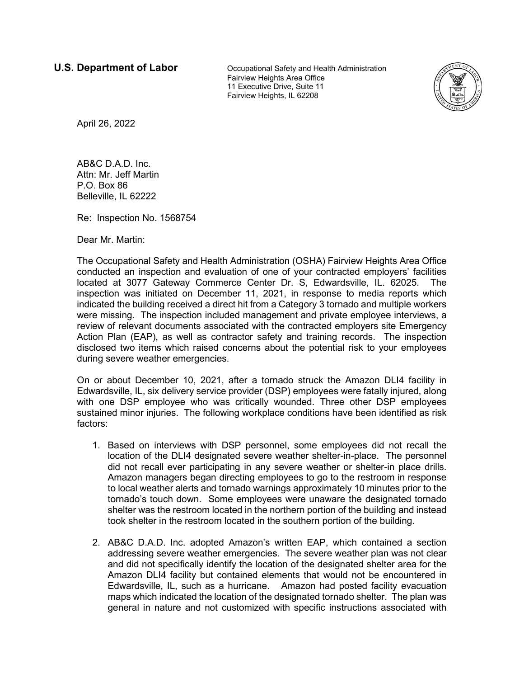**U.S. Department of Labor Cocupational Safety and Health Administration** Fairview Heights Area Office 11 Executive Drive, Suite 11 Fairview Heights, IL 62208



April 26, 2022

AB&C D.A.D. Inc. Attn: Mr. Jeff Martin P.O. Box 86 Belleville, IL 62222

Re: Inspection No. 1568754

Dear Mr. Martin:

The Occupational Safety and Health Administration (OSHA) Fairview Heights Area Office conducted an inspection and evaluation of one of your contracted employers' facilities located at 3077 Gateway Commerce Center Dr. S, Edwardsville, IL. 62025. The inspection was initiated on December 11, 2021, in response to media reports which indicated the building received a direct hit from a Category 3 tornado and multiple workers were missing. The inspection included management and private employee interviews, a review of relevant documents associated with the contracted employers site Emergency Action Plan (EAP), as well as contractor safety and training records. The inspection disclosed two items which raised concerns about the potential risk to your employees during severe weather emergencies.

On or about December 10, 2021, after a tornado struck the Amazon DLI4 facility in Edwardsville, IL, six delivery service provider (DSP) employees were fatally injured, along with one DSP employee who was critically wounded. Three other DSP employees sustained minor injuries. The following workplace conditions have been identified as risk factors:

- 1. Based on interviews with DSP personnel, some employees did not recall the location of the DLI4 designated severe weather shelter-in-place. The personnel did not recall ever participating in any severe weather or shelter-in place drills. Amazon managers began directing employees to go to the restroom in response to local weather alerts and tornado warnings approximately 10 minutes prior to the tornado's touch down. Some employees were unaware the designated tornado shelter was the restroom located in the northern portion of the building and instead took shelter in the restroom located in the southern portion of the building.
- 2. AB&C D.A.D. Inc. adopted Amazon's written EAP, which contained a section addressing severe weather emergencies. The severe weather plan was not clear and did not specifically identify the location of the designated shelter area for the Amazon DLI4 facility but contained elements that would not be encountered in Edwardsville, IL, such as a hurricane. Amazon had posted facility evacuation maps which indicated the location of the designated tornado shelter. The plan was general in nature and not customized with specific instructions associated with